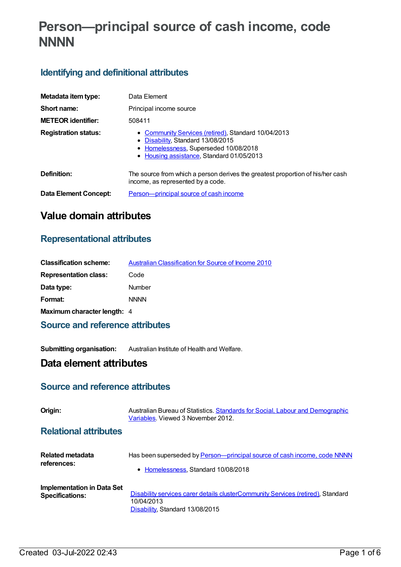# **Person—principal source of cash income, code NNNN**

## **Identifying and definitional attributes**

| Metadata item type:          | Data Element                                                                                                                                                                   |  |
|------------------------------|--------------------------------------------------------------------------------------------------------------------------------------------------------------------------------|--|
| Short name:                  | Principal income source                                                                                                                                                        |  |
| <b>METEOR identifier:</b>    | 508411                                                                                                                                                                         |  |
| <b>Registration status:</b>  | • Community Services (retired), Standard 10/04/2013<br>• Disability, Standard 13/08/2015<br>• Homelessness, Superseded 10/08/2018<br>• Housing assistance, Standard 01/05/2013 |  |
| Definition:                  | The source from which a person derives the greatest proportion of his/her cash<br>income, as represented by a code.                                                            |  |
| <b>Data Element Concept:</b> | Person—principal source of cash income                                                                                                                                         |  |

## **Value domain attributes**

### **Representational attributes**

| <b>Classification scheme:</b> | Australian Classification for Source of Income 2010 |
|-------------------------------|-----------------------------------------------------|
| <b>Representation class:</b>  | Code                                                |
| Data type:                    | Number                                              |
| Format:                       | <b>NNNN</b>                                         |
| Maximum character length: 4   |                                                     |

## **Source and reference attributes**

**Submitting organisation:** Australian Institute of Health and Welfare.

## **Data element attributes**

### **Source and reference attributes**

| Origin:                                              | Australian Bureau of Statistics. Standards for Social, Labour and Demographic<br>Variables, Viewed 3 November 2012.              |
|------------------------------------------------------|----------------------------------------------------------------------------------------------------------------------------------|
| <b>Relational attributes</b>                         |                                                                                                                                  |
| <b>Related metadata</b><br>references:               | Has been superseded by Person-principal source of cash income, code NNNN<br>• Homelessness, Standard 10/08/2018                  |
| Implementation in Data Set<br><b>Specifications:</b> | Disability services carer details clusterCommunity Services (retired), Standard<br>10/04/2013<br>Disability, Standard 13/08/2015 |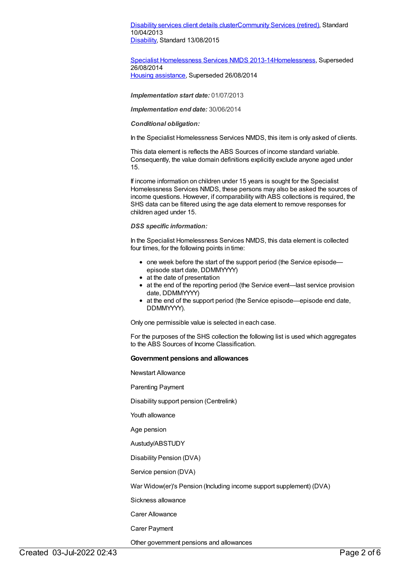[Disability](https://meteor.aihw.gov.au/content/484543) services client details cluste[rCommunity](https://meteor.aihw.gov.au/RegistrationAuthority/1) Services (retired), Standard 10/04/2013 [Disability](https://meteor.aihw.gov.au/RegistrationAuthority/16), Standard 13/08/2015

### Specialist [Homelessness](https://meteor.aihw.gov.au/content/505626) Services NMDS 2013-1[4Homelessness](https://meteor.aihw.gov.au/RegistrationAuthority/14), Superseded 26/08/2014

Housing [assistance](https://meteor.aihw.gov.au/RegistrationAuthority/11), Superseded 26/08/2014

*Implementation start date:* 01/07/2013

*Implementation end date:* 30/06/2014

#### *Conditional obligation:*

In the Specialist Homelessness Services NMDS, this item is only asked of clients.

This data element is reflects the ABS Sources of income standard variable. Consequently, the value domain definitions explicitly exclude anyone aged under 15.

If income information on children under 15 years is sought for the Specialist Homelessness Services NMDS, these persons may also be asked the sources of income questions. However, if comparability with ABS collections is required, the SHS data can be filtered using the age data element to remove responses for children aged under 15.

#### *DSS specific information:*

In the Specialist Homelessness Services NMDS, this data element is collected four times, for the following points in time:

- one week before the start of the support period (the Service episode episode start date, DDMMYYYY)
- at the date of presentation
- at the end of the reporting period (the Service event—last service provision date, DDMMYYYY)
- at the end of the support period (the Service episode—episode end date, DDMMYYYY).

Only one permissible value is selected in each case.

For the purposes of the SHS collection the following list is used which aggregates to the ABS Sources of Income Classification.

#### **Government pensions and allowances**

Newstart Allowance

Parenting Payment

Disability support pension (Centrelink)

Youth allowance

Age pension

Austudy/ABSTUDY

Disability Pension (DVA)

Service pension (DVA)

War Widow(er)'s Pension (Including income support supplement) (DVA)

Sickness allowance

Carer Allowance

Carer Payment

Other government pensions and allowances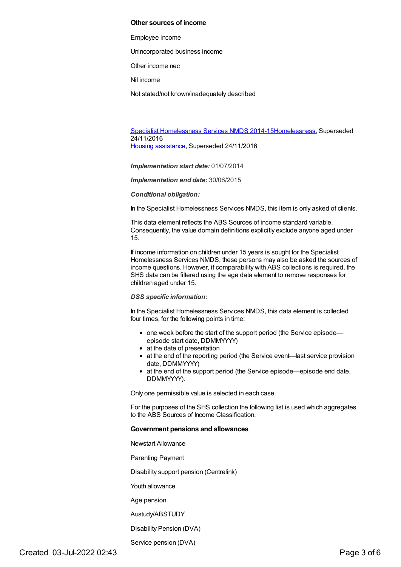#### **Other sources of income**

Employee income

Unincorporated business income

Other income nec

Nil income

Not stated/not known/inadequately described

Specialist [Homelessness](https://meteor.aihw.gov.au/content/581255) Services NMDS 2014-1[5Homelessness](https://meteor.aihw.gov.au/RegistrationAuthority/14), Superseded 24/11/2016 Housing [assistance](https://meteor.aihw.gov.au/RegistrationAuthority/11), Superseded 24/11/2016

*Implementation start date:* 01/07/2014

*Implementation end date:* 30/06/2015

#### *Conditional obligation:*

In the Specialist Homelessness Services NMDS, this item is only asked of clients.

This data element reflects the ABS Sources of income standard variable. Consequently, the value domain definitions explicitly exclude anyone aged under 15.

If income information on children under 15 years is sought for the Specialist Homelessness Services NMDS, these persons may also be asked the sources of income questions. However, if comparability with ABS collections is required, the SHS data can be filtered using the age data element to remove responses for children aged under 15.

#### *DSS specific information:*

In the Specialist Homelessness Services NMDS, this data element is collected four times, for the following points in time:

- one week before the start of the support period (the Service episodeepisode start date, DDMMYYYY)
- at the date of presentation
- at the end of the reporting period (the Service event—last service provision date, DDMMYYYY)
- at the end of the support period (the Service episode—episode end date, DDMMYYYY).

Only one permissible value is selected in each case.

For the purposes of the SHS collection the following list is used which aggregates to the ABS Sources of Income Classification.

#### **Government pensions and allowances**

Newstart Allowance

Parenting Payment

Disability support pension (Centrelink)

Youth allowance

Age pension

Austudy/ABSTUDY

Disability Pension (DVA)

Service pension (DVA)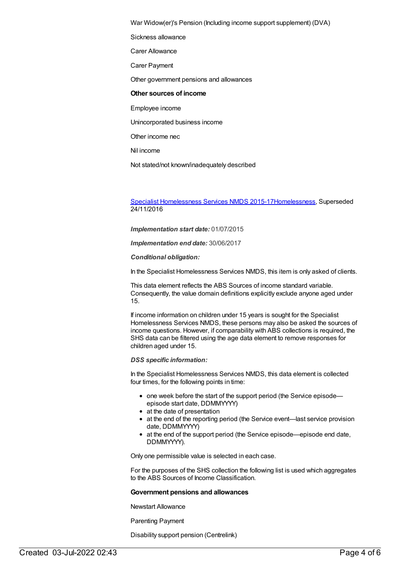War Widow(er)'s Pension (Including income support supplement) (DVA)

Sickness allowance

Carer Allowance

Carer Payment

Other government pensions and allowances

#### **Other sources of income**

Employee income

Unincorporated business income

Other income nec

Nil income

Not stated/not known/inadequately described

Specialist [Homelessness](https://meteor.aihw.gov.au/content/658005) Services NMDS 2015-1[7Homelessness](https://meteor.aihw.gov.au/RegistrationAuthority/14), Superseded 24/11/2016

*Implementation start date:* 01/07/2015

*Implementation end date:* 30/06/2017

*Conditional obligation:*

In the Specialist Homelessness Services NMDS, this item is only asked of clients.

This data element reflects the ABS Sources of income standard variable. Consequently, the value domain definitions explicitly exclude anyone aged under 15.

If income information on children under 15 years is sought for the Specialist Homelessness Services NMDS, these persons may also be asked the sources of income questions. However, if comparability with ABS collections is required, the SHS data can be filtered using the age data element to remove responses for children aged under 15.

*DSS specific information:*

In the Specialist Homelessness Services NMDS, this data element is collected four times, for the following points in time:

- one week before the start of the support period (the Service episodeepisode start date, DDMMYYYY)
- at the date of presentation
- at the end of the reporting period (the Service event—last service provision date, DDMMYYYY)
- at the end of the support period (the Service episode—episode end date, DDMMYYYY).

Only one permissible value is selected in each case.

For the purposes of the SHS collection the following list is used which aggregates to the ABS Sources of Income Classification.

#### **Government pensions and allowances**

Newstart Allowance

Parenting Payment

Disability support pension (Centrelink)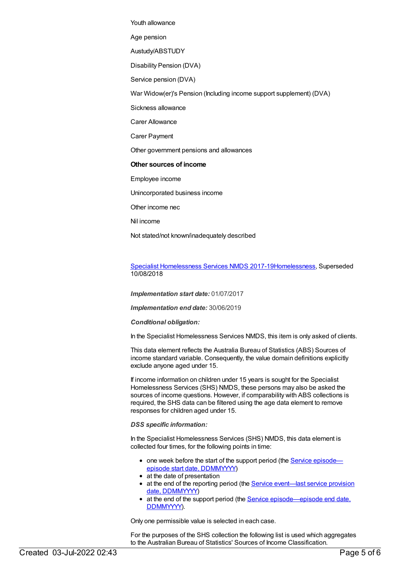Youth allowance

Age pension

Austudy/ABSTUDY

Disability Pension (DVA)

Service pension (DVA)

War Widow(er)'s Pension (Including income support supplement) (DVA)

Sickness allowance

Carer Allowance

Carer Payment

Other government pensions and allowances

**Other sources of income**

Employee income

Unincorporated business income

Other income nec

Nil income

Not stated/not known/inadequately described

Specialist [Homelessness](https://meteor.aihw.gov.au/content/650006) Services NMDS 2017-1[9Homelessness](https://meteor.aihw.gov.au/RegistrationAuthority/14), Superseded 10/08/2018

*Implementation start date:* 01/07/2017

*Implementation end date:* 30/06/2019

*Conditional obligation:*

In the Specialist Homelessness Services NMDS, this item is only asked of clients.

This data element reflects the Australia Bureau of Statistics (ABS) Sources of income standard variable. Consequently, the value domain definitions explicitly exclude anyone aged under 15.

If income information on children under 15 years is sought for the Specialist Homelessness Services (SHS) NMDS, these persons may also be asked the sources of income questions. However, if comparability with ABS collections is required, the SHS data can be filtered using the age data element to remove responses for children aged under 15.

*DSS specific information:*

In the Specialist Homelessness Services (SHS) NMDS, this data element is collected four times, for the following points in time:

- one week before the start of the support period (the Service episode episode start date, [DDMMYYYY\)](file:///content/338558)
- at the date of presentation
- at the end of the reporting period (the Service event—last service provision date, [DDMMYYYY\)](file:///content/323253)
- at the end of the support period (the Service [episode—episode](file:///content/270160) end date, DDMMYYYY).

Only one permissible value is selected in each case.

For the purposes of the SHS collection the following list is used which aggregates to the Australian Bureau of Statistics' Sources of Income Classification.